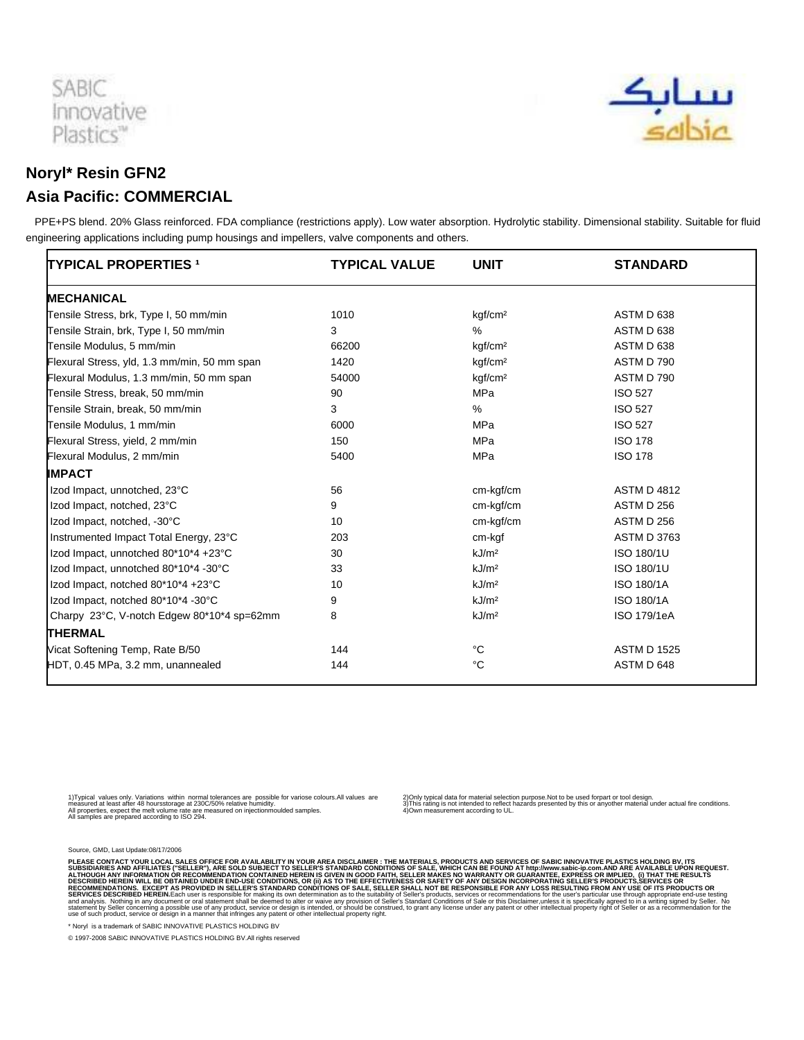

## سبابک<br>مندله

## **Noryl\* Resin GFN2 Asia Pacific: COMMERCIAL**

 PPE+PS blend. 20% Glass reinforced. FDA compliance (restrictions apply). Low water absorption. Hydrolytic stability. Dimensional stability. Suitable for fluid engineering applications including pump housings and impellers, valve components and others.

| <b>TYPICAL PROPERTIES 1</b>                  | <b>TYPICAL VALUE</b> | <b>UNIT</b>         | <b>STANDARD</b>    |
|----------------------------------------------|----------------------|---------------------|--------------------|
| <b>MECHANICAL</b>                            |                      |                     |                    |
| Tensile Stress, brk, Type I, 50 mm/min       | 1010                 | kgf/cm <sup>2</sup> | ASTM D 638         |
| Tensile Strain, brk, Type I, 50 mm/min       | 3                    | %                   | ASTM D 638         |
| Tensile Modulus, 5 mm/min                    | 66200                | kgf/cm <sup>2</sup> | ASTM D 638         |
| Flexural Stress, yld, 1.3 mm/min, 50 mm span | 1420                 | kgf/cm <sup>2</sup> | ASTM D 790         |
| Flexural Modulus, 1.3 mm/min, 50 mm span     | 54000                | kgf/cm <sup>2</sup> | ASTM D 790         |
| Tensile Stress, break, 50 mm/min             | 90                   | <b>MPa</b>          | <b>ISO 527</b>     |
| Tensile Strain, break, 50 mm/min             | 3                    | %                   | <b>ISO 527</b>     |
| Tensile Modulus, 1 mm/min                    | 6000                 | <b>MPa</b>          | <b>ISO 527</b>     |
| Flexural Stress, yield, 2 mm/min             | 150                  | MPa                 | <b>ISO 178</b>     |
| Flexural Modulus, 2 mm/min                   | 5400                 | MPa                 | <b>ISO 178</b>     |
| <b>IMPACT</b>                                |                      |                     |                    |
| Izod Impact, unnotched, 23°C                 | 56                   | cm-kgf/cm           | <b>ASTM D 4812</b> |
| Izod Impact, notched, 23°C                   | 9                    | cm-kgf/cm           | ASTM D 256         |
| Izod Impact, notched, -30°C                  | 10                   | cm-kgf/cm           | ASTM D 256         |
| Instrumented Impact Total Energy, 23°C       | 203                  | cm-kgf              | <b>ASTM D 3763</b> |
| Izod Impact, unnotched 80*10*4 +23°C         | 30                   | kJ/m <sup>2</sup>   | ISO 180/1U         |
| Izod Impact, unnotched 80*10*4 -30°C         | 33                   | kJ/m <sup>2</sup>   | ISO 180/1U         |
| Izod Impact, notched 80*10*4 +23°C           | 10                   | kJ/m <sup>2</sup>   | <b>ISO 180/1A</b>  |
| Izod Impact, notched 80*10*4 -30°C           | 9                    | kJ/m <sup>2</sup>   | <b>ISO 180/1A</b>  |
| Charpy 23°C, V-notch Edgew 80*10*4 sp=62mm   | 8                    | kJ/m <sup>2</sup>   | ISO 179/1eA        |
| <b>THERMAL</b>                               |                      |                     |                    |
| Vicat Softening Temp, Rate B/50              | 144                  | °C                  | <b>ASTM D 1525</b> |
| HDT, 0.45 MPa, 3.2 mm, unannealed            | 144                  | °C                  | ASTM D 648         |

1) Typical values only. Variations within normal tolerances are possible for variose colours.All values are<br>measured at least after 48 hours storage at 230C/50% relative humidity.<br>All samples are prepared according to ISO

2) Only typical data for material selection purpose.Not to be used for part or tool design.<br>3) This rating is not intended to reflect hazards presented by this or any other material under actual fire conditions.<br>4) Own me

Source, GMD, Last Update:08/17/2006

PLEASE CONTACT YOUR LOCAL SALES OFFICE FOR AVAILABILITY IN YOUR AREA DISCLAIMER: THE MATERIALS, PRODUCTS AND SENDED TO SALES WHICH CAN BE FOUND AT http://www.sabic-ip.com.AND ARE AVAILABLE UPON REQUEST.<br>ALTHOUGH ANY INFORM

\* Noryl is a trademark of SABIC INNOVATIVE PLASTICS HOLDING BV

© 1997-2008 SABIC INNOVATIVE PLASTICS HOLDING BV.All rights reserved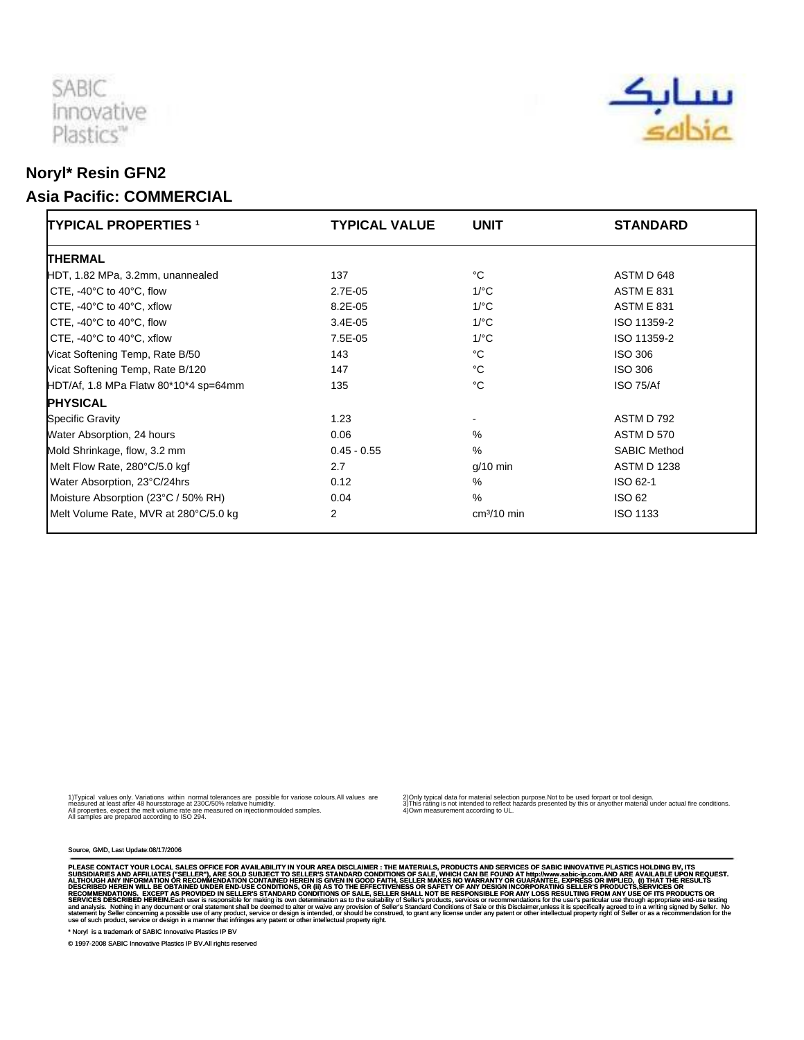

## **Noryl\* Resin GFN2 Asia Pacific: COMMERCIAL**

| <b>TYPICAL PROPERTIES 1</b>                   | <b>TYPICAL VALUE</b> | <b>UNIT</b>        | <b>STANDARD</b>     |
|-----------------------------------------------|----------------------|--------------------|---------------------|
| <b>THERMAL</b>                                |                      |                    |                     |
| HDT, 1.82 MPa, 3.2mm, unannealed              | 137                  | °C                 | ASTM D 648          |
| CTE, $-40^{\circ}$ C to $40^{\circ}$ C, flow  | 2.7E-05              | $1$ /°C            | <b>ASTM E 831</b>   |
| CTE, $-40^{\circ}$ C to $40^{\circ}$ C, xflow | $8.2E - 05$          | $1$ <sup>o</sup> C | <b>ASTM E 831</b>   |
| CTE, $-40^{\circ}$ C to $40^{\circ}$ C, flow  | $3.4E - 05$          | $1$ <sup>o</sup> C | ISO 11359-2         |
| CTE, $-40^{\circ}$ C to $40^{\circ}$ C, xflow | 7.5E-05              | $1$ <sup>o</sup> C | ISO 11359-2         |
| Vicat Softening Temp, Rate B/50               | 143                  | °C                 | <b>ISO 306</b>      |
| Vicat Softening Temp, Rate B/120              | 147                  | °C                 | ISO 306             |
| HDT/Af, 1.8 MPa Flatw 80*10*4 sp=64mm         | 135                  | °C                 | ISO 75/Af           |
| <b>PHYSICAL</b>                               |                      |                    |                     |
| <b>Specific Gravity</b>                       | 1.23                 |                    | ASTM D 792          |
| Water Absorption, 24 hours                    | 0.06                 | $\%$               | <b>ASTM D 570</b>   |
| Mold Shrinkage, flow, 3.2 mm                  | $0.45 - 0.55$        | $\%$               | <b>SABIC Method</b> |
| Melt Flow Rate, 280°C/5.0 kgf                 | 2.7                  | $g/10$ min         | <b>ASTM D 1238</b>  |
| Water Absorption, 23°C/24hrs                  | 0.12                 | %                  | ISO 62-1            |
| Moisture Absorption (23°C / 50% RH)           | 0.04                 | %                  | <b>ISO 62</b>       |
| Melt Volume Rate, MVR at 280°C/5.0 kg         | 2                    | $cm3/10$ min       | <b>ISO 1133</b>     |

1) Typical values only. Variations within normal tolerances are possible for variose colours.All values are<br>measured at least after 48 hours storage at 230C/50% relative humidity.<br>All samples are prepared according to ISO

2) Only typical data for material selection purpose.Not to be used for part or tool design.<br>3) This rating is not intended to reflect hazards presented by this or any other material under actual fire conditions.<br>4) Own me

Source, GMD, Last Update:08/17/2006

PLEASE CONTACT YOUR LOCAL SALES OFFICE FOR AVAILABILITY IN YOUR AREA DISCLAIMER : THE MATERIALS, PRODUCTS AND SEVIDES OF SAGIC INNOVATIVE PLASS TO SUPPOSE THE SUPPOSE THE MATERIALS. PRODUCTS AND SERVICES OF SALES WILL ARE

\* Noryl is a trademark of SABIC Innovative Plastics IP BV

© 1997-2008 SABIC Innovative Plastics IP BV.All rights reserved